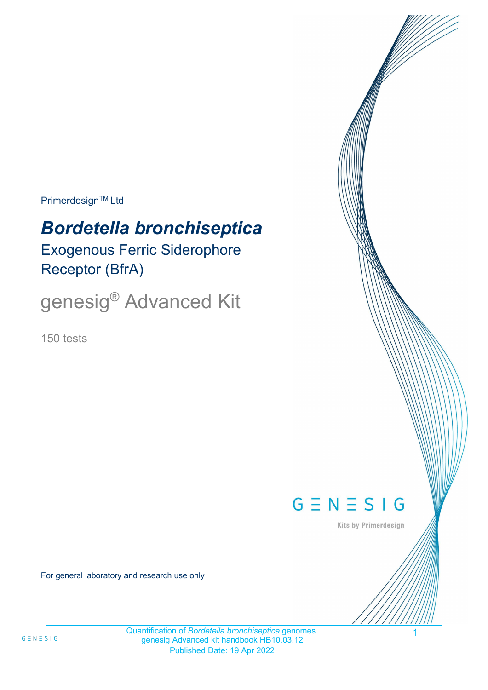**Primerdesign™ Ltd** 

# *Bordetella bronchiseptica*

Exogenous Ferric Siderophore Receptor (BfrA)

genesig® Advanced Kit

150 tests



Kits by Primerdesign

1

For general laboratory and research use only

Quantification of *Bordetella bronchiseptica* genomes. genesig Advanced kit handbook HB10.03.12 Published Date: 19 Apr 2022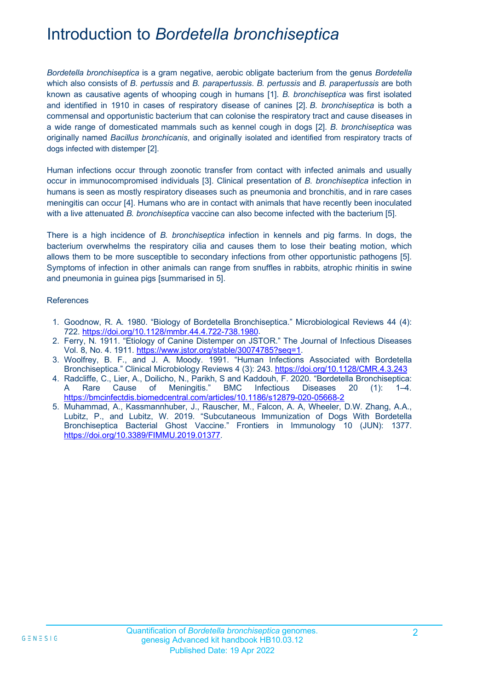## Introduction to *Bordetella bronchiseptica*

*Bordetella bronchiseptica* is a gram negative, aerobic obligate bacterium from the genus *Bordetella* which also consists of *B. pertussis* and *B. parapertussis*. *B. pertussis* and *B. parapertussis* are both known as causative agents of whooping cough in humans [1]. *B. bronchiseptica* was first isolated and identified in 1910 in cases of respiratory disease of canines [2]. *B. bronchiseptica* is both a commensal and opportunistic bacterium that can colonise the respiratory tract and cause diseases in a wide range of domesticated mammals such as kennel cough in dogs [2]. *B. bronchiseptica* was originally named *Bacillus bronchicanis*, and originally isolated and identified from respiratory tracts of dogs infected with distemper [2].

Human infections occur through zoonotic transfer from contact with infected animals and usually occur in immunocompromised individuals [3]. Clinical presentation of *B. bronchiseptica* infection in humans is seen as mostly respiratory diseases such as pneumonia and bronchitis, and in rare cases meningitis can occur [4]. Humans who are in contact with animals that have recently been inoculated with a live attenuated *B. bronchiseptica* vaccine can also become infected with the bacterium [5].

There is a high incidence of *B. bronchiseptica* infection in kennels and pig farms. In dogs, the bacterium overwhelms the respiratory cilia and causes them to lose their beating motion, which allows them to be more susceptible to secondary infections from other opportunistic pathogens [5]. Symptoms of infection in other animals can range from snuffles in rabbits, atrophic rhinitis in swine and pneumonia in guinea pigs [summarised in 5].

#### References

- 1. Goodnow, R. A. 1980. "Biology of Bordetella Bronchiseptica." Microbiological Reviews 44 (4): 722. [https://doi.org/10.1128/mmbr.44.4.722-738.1980.](https://doi.org/10.1128/mmbr.44.4.722-738.1980)
- 2. Ferry, N. 1911. "Etiology of Canine Distemper on JSTOR." The Journal of Infectious Diseases Vol. 8, No. 4. 1911. [https://www.jstor.org/stable/30074785?seq=1.](https://www.jstor.org/stable/30074785?seq=1)
- 3. Woolfrey, B. F., and J. A. Moody. 1991. "Human Infections Associated with Bordetella Bronchiseptica." Clinical Microbiology Reviews 4 (3): 243. <https://doi.org/10.1128/CMR.4.3.243>
- 4. Radcliffe, C., Lier, A., Doilicho, N., Parikh, S and Kaddouh, F. 2020. "Bordetella Bronchiseptica: A Rare Cause of Meningitis." BMC Infectious Diseases 20 (1): 1–4. <https://bmcinfectdis.biomedcentral.com/articles/10.1186/s12879-020-05668-2>
- 5. Muhammad, A., Kassmannhuber, J., Rauscher, M., Falcon, A. A, Wheeler, D.W. Zhang, A.A., Lubitz, P., and Lubitz, W. 2019. "Subcutaneous Immunization of Dogs With Bordetella Bronchiseptica Bacterial Ghost Vaccine." Frontiers in Immunology 10 (JUN): 1377. [https://doi.org/10.3389/FIMMU.2019.01377.](https://doi.org/10.3389/FIMMU.2019.01377)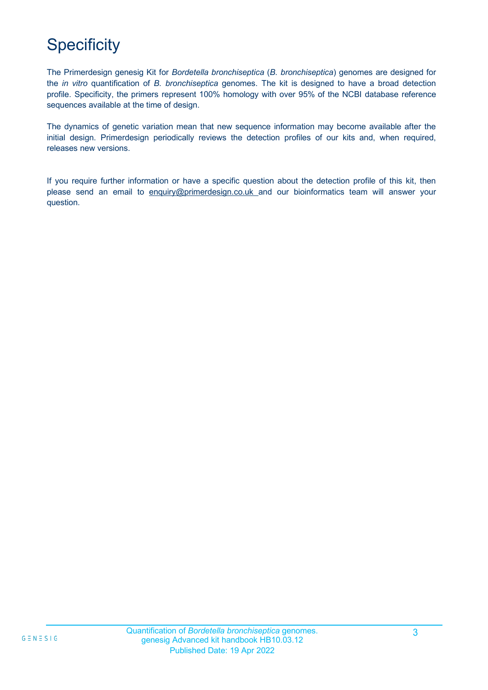# **Specificity**

The Primerdesign genesig Kit for *Bordetella bronchiseptica* (*B. bronchiseptica*) genomes are designed for the *in vitro* quantification of *B. bronchiseptica* genomes. The kit is designed to have a broad detection profile. Specificity, the primers represent 100% homology with over 95% of the NCBI database reference sequences available at the time of design.

The dynamics of genetic variation mean that new sequence information may become available after the initial design. Primerdesign periodically reviews the detection profiles of our kits and, when required, releases new versions.

If you require further information or have a specific question about the detection profile of this kit, then please send an email to [enquiry@primerdesign.co.uk a](mailto:enquiry@primerdesign.co.uk)nd our bioinformatics team will answer your question.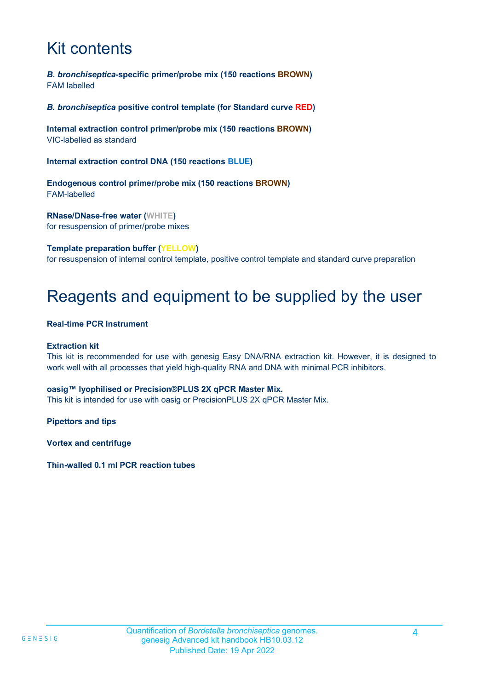## Kit contents

*B. bronchiseptica-***specific primer/probe mix (150 reactions BROWN)** FAM labelled

*B. bronchiseptica* **positive control template (for Standard curve RED)**

**Internal extraction control primer/probe mix (150 reactions BROWN)** VIC-labelled as standard

**Internal extraction control DNA (150 reactions BLUE)**

**Endogenous control primer/probe mix (150 reactions BROWN)** FAM-labelled

**RNase/DNase-free water (WHITE)** for resuspension of primer/probe mixes

**Template preparation buffer (YELLOW)**

for resuspension of internal control template, positive control template and standard curve preparation

## Reagents and equipment to be supplied by the user

#### **Real-time PCR Instrument**

#### **Extraction kit**

This kit is recommended for use with genesig Easy DNA/RNA extraction kit. However, it is designed to work well with all processes that yield high-quality RNA and DNA with minimal PCR inhibitors.

#### **oasig™ lyophilised or Precision®PLUS 2X qPCR Master Mix.**

This kit is intended for use with oasig or PrecisionPLUS 2X qPCR Master Mix.

**Pipettors and tips** 

**Vortex and centrifuge**

**Thin-walled 0.1 ml PCR reaction tubes**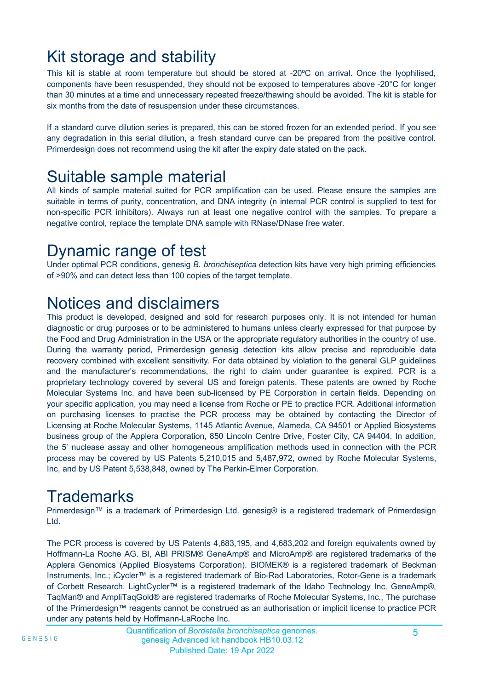### Kit storage and stability

This kit is stable at room temperature but should be stored at -20ºC on arrival. Once the lyophilised, components have been resuspended, they should not be exposed to temperatures above -20°C for longer than 30 minutes at a time and unnecessary repeated freeze/thawing should be avoided. The kit is stable for six months from the date of resuspension under these circumstances.

If a standard curve dilution series is prepared, this can be stored frozen for an extended period. If you see any degradation in this serial dilution, a fresh standard curve can be prepared from the positive control. Primerdesign does not recommend using the kit after the expiry date stated on the pack.

### Suitable sample material

All kinds of sample material suited for PCR amplification can be used. Please ensure the samples are suitable in terms of purity, concentration, and DNA integrity (n internal PCR control is supplied to test for non-specific PCR inhibitors). Always run at least one negative control with the samples. To prepare a negative control, replace the template DNA sample with RNase/DNase free water.

### Dynamic range of test

Under optimal PCR conditions, genesig *B. bronchiseptica* detection kits have very high priming efficiencies of >90% and can detect less than 100 copies of the target template.

### Notices and disclaimers

This product is developed, designed and sold for research purposes only. It is not intended for human diagnostic or drug purposes or to be administered to humans unless clearly expressed for that purpose by the Food and Drug Administration in the USA or the appropriate regulatory authorities in the country of use. During the warranty period, Primerdesign genesig detection kits allow precise and reproducible data recovery combined with excellent sensitivity. For data obtained by violation to the general GLP guidelines and the manufacturer's recommendations, the right to claim under guarantee is expired. PCR is a proprietary technology covered by several US and foreign patents. These patents are owned by Roche Molecular Systems Inc. and have been sub-licensed by PE Corporation in certain fields. Depending on your specific application, you may need a license from Roche or PE to practice PCR. Additional information on purchasing licenses to practise the PCR process may be obtained by contacting the Director of Licensing at Roche Molecular Systems, 1145 Atlantic Avenue, Alameda, CA 94501 or Applied Biosystems business group of the Applera Corporation, 850 Lincoln Centre Drive, Foster City, CA 94404. In addition, the 5' nuclease assay and other homogeneous amplification methods used in connection with the PCR process may be covered by US Patents 5,210,015 and 5,487,972, owned by Roche Molecular Systems, Inc, and by US Patent 5,538,848, owned by The Perkin-Elmer Corporation.

## **Trademarks**

Primerdesign™ is a trademark of Primerdesign Ltd. genesig® is a registered trademark of Primerdesign Ltd.

The PCR process is covered by US Patents 4,683,195, and 4,683,202 and foreign equivalents owned by Hoffmann-La Roche AG. BI, ABI PRISM® GeneAmp® and MicroAmp® are registered trademarks of the Applera Genomics (Applied Biosystems Corporation). BIOMEK® is a registered trademark of Beckman Instruments, Inc.; iCycler™ is a registered trademark of Bio-Rad Laboratories, Rotor-Gene is a trademark of Corbett Research. LightCycler™ is a registered trademark of the Idaho Technology Inc. GeneAmp®, TaqMan® and AmpliTaqGold® are registered trademarks of Roche Molecular Systems, Inc., The purchase of the Primerdesign™ reagents cannot be construed as an authorisation or implicit license to practice PCR under any patents held by Hoffmann-LaRoche Inc.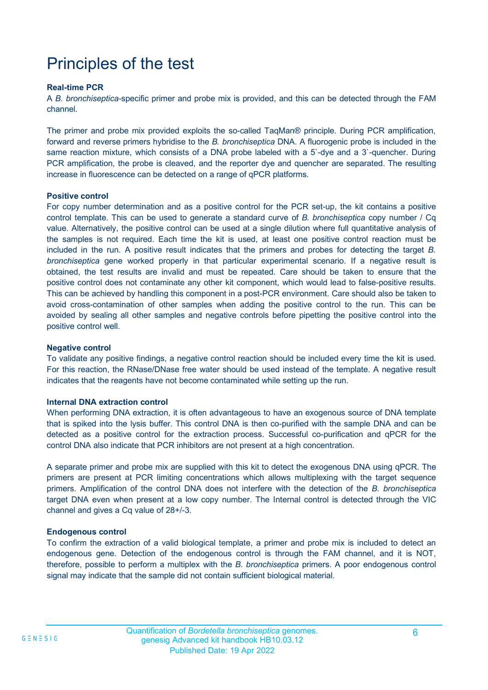## Principles of the test

#### **Real-time PCR**

A *B. bronchiseptica-*specific primer and probe mix is provided, and this can be detected through the FAM channel.

The primer and probe mix provided exploits the so-called TaqMan® principle. During PCR amplification, forward and reverse primers hybridise to the *B. bronchiseptica* DNA. A fluorogenic probe is included in the same reaction mixture, which consists of a DNA probe labeled with a 5'-dye and a 3'-quencher. During PCR amplification, the probe is cleaved, and the reporter dye and quencher are separated. The resulting increase in fluorescence can be detected on a range of qPCR platforms.

#### **Positive control**

For copy number determination and as a positive control for the PCR set-up, the kit contains a positive control template. This can be used to generate a standard curve of *B. bronchiseptica* copy number / Cq value. Alternatively, the positive control can be used at a single dilution where full quantitative analysis of the samples is not required. Each time the kit is used, at least one positive control reaction must be included in the run. A positive result indicates that the primers and probes for detecting the target *B. bronchiseptica* gene worked properly in that particular experimental scenario. If a negative result is obtained, the test results are invalid and must be repeated. Care should be taken to ensure that the positive control does not contaminate any other kit component, which would lead to false-positive results. This can be achieved by handling this component in a post-PCR environment. Care should also be taken to avoid cross-contamination of other samples when adding the positive control to the run. This can be avoided by sealing all other samples and negative controls before pipetting the positive control into the positive control well.

#### **Negative control**

To validate any positive findings, a negative control reaction should be included every time the kit is used. For this reaction, the RNase/DNase free water should be used instead of the template. A negative result indicates that the reagents have not become contaminated while setting up the run.

#### **Internal DNA extraction control**

When performing DNA extraction, it is often advantageous to have an exogenous source of DNA template that is spiked into the lysis buffer. This control DNA is then co-purified with the sample DNA and can be detected as a positive control for the extraction process. Successful co-purification and qPCR for the control DNA also indicate that PCR inhibitors are not present at a high concentration.

A separate primer and probe mix are supplied with this kit to detect the exogenous DNA using qPCR. The primers are present at PCR limiting concentrations which allows multiplexing with the target sequence primers. Amplification of the control DNA does not interfere with the detection of the *B. bronchiseptica*  target DNA even when present at a low copy number. The Internal control is detected through the VIC channel and gives a Cq value of 28+/-3.

#### **Endogenous control**

To confirm the extraction of a valid biological template, a primer and probe mix is included to detect an endogenous gene. Detection of the endogenous control is through the FAM channel, and it is NOT, therefore, possible to perform a multiplex with the *B. bronchiseptica* primers. A poor endogenous control signal may indicate that the sample did not contain sufficient biological material.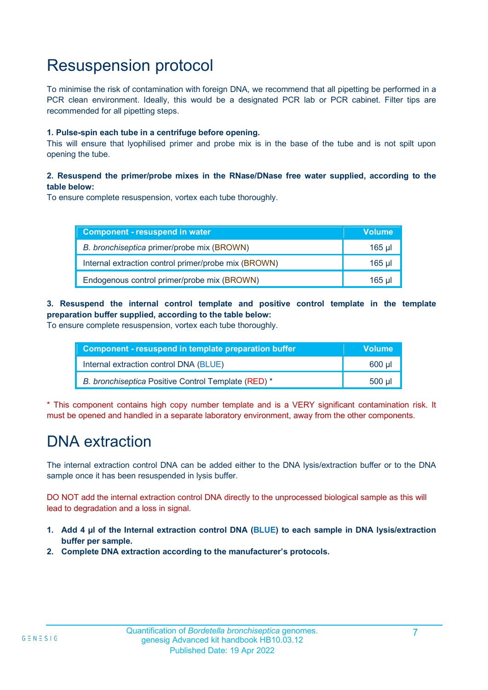### Resuspension protocol

To minimise the risk of contamination with foreign DNA, we recommend that all pipetting be performed in a PCR clean environment. Ideally, this would be a designated PCR lab or PCR cabinet. Filter tips are recommended for all pipetting steps.

#### **1. Pulse-spin each tube in a centrifuge before opening.**

This will ensure that lyophilised primer and probe mix is in the base of the tube and is not spilt upon opening the tube.

#### **2. Resuspend the primer/probe mixes in the RNase/DNase free water supplied, according to the table below:**

To ensure complete resuspension, vortex each tube thoroughly.

| Component - resuspend in water                       | <b>Volume</b> |
|------------------------------------------------------|---------------|
| B. bronchiseptica primer/probe mix (BROWN)           | $165$ ul      |
| Internal extraction control primer/probe mix (BROWN) | 165 ul        |
| Endogenous control primer/probe mix (BROWN)          | 165 ul        |

### **3. Resuspend the internal control template and positive control template in the template preparation buffer supplied, according to the table below:**

To ensure complete resuspension, vortex each tube thoroughly.

| Component - resuspend in template preparation buffer | <b>Volume</b> |
|------------------------------------------------------|---------------|
| Internal extraction control DNA (BLUE)               | 600 ul        |
| B. bronchiseptica Positive Control Template (RED) *  | 500 ul        |

\* This component contains high copy number template and is a VERY significant contamination risk. It must be opened and handled in a separate laboratory environment, away from the other components.

### DNA extraction

The internal extraction control DNA can be added either to the DNA lysis/extraction buffer or to the DNA sample once it has been resuspended in lysis buffer.

DO NOT add the internal extraction control DNA directly to the unprocessed biological sample as this will lead to degradation and a loss in signal.

- **1. Add 4 µl of the Internal extraction control DNA (BLUE) to each sample in DNA lysis/extraction buffer per sample.**
- **2. Complete DNA extraction according to the manufacturer's protocols.**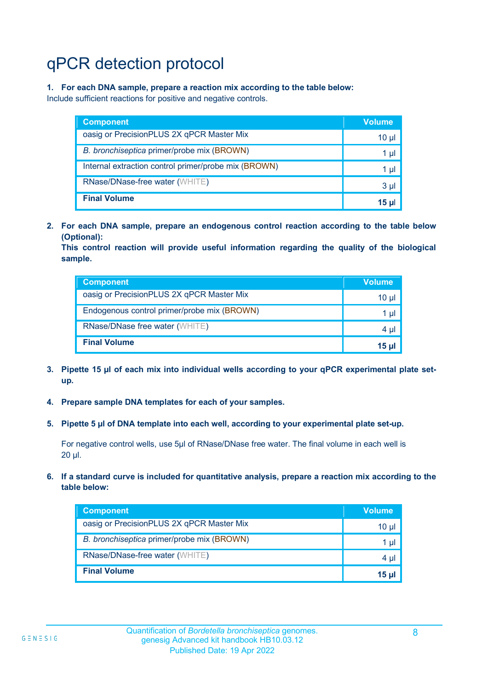# qPCR detection protocol

#### **1. For each DNA sample, prepare a reaction mix according to the table below:**

Include sufficient reactions for positive and negative controls.

| <b>Component</b>                                     | <b>Volume</b> |
|------------------------------------------------------|---------------|
| oasig or PrecisionPLUS 2X qPCR Master Mix            | 10 µl         |
| B. bronchiseptica primer/probe mix (BROWN)           | 1 µl          |
| Internal extraction control primer/probe mix (BROWN) | 1 µl          |
| RNase/DNase-free water (WHITE)                       | 3 µl          |
| <b>Final Volume</b>                                  | 15 ul         |

**2. For each DNA sample, prepare an endogenous control reaction according to the table below (Optional):**

**This control reaction will provide useful information regarding the quality of the biological sample.**

| <b>Component</b>                            | <b>Volume</b> |
|---------------------------------------------|---------------|
| oasig or PrecisionPLUS 2X qPCR Master Mix   | 10 µl         |
| Endogenous control primer/probe mix (BROWN) | 1 µl          |
| RNase/DNase free water (WHITE)              | 4 µl          |
| <b>Final Volume</b>                         | 15 ul         |

- **3. Pipette 15 µl of each mix into individual wells according to your qPCR experimental plate setup.**
- **4. Prepare sample DNA templates for each of your samples.**
- **5. Pipette 5 µl of DNA template into each well, according to your experimental plate set-up.**

For negative control wells, use 5µl of RNase/DNase free water. The final volume in each well is 20 µl.

**6. If a standard curve is included for quantitative analysis, prepare a reaction mix according to the table below:**

| <b>Component</b>                           | <b>Volume</b> |
|--------------------------------------------|---------------|
| oasig or PrecisionPLUS 2X qPCR Master Mix  | 10 µl         |
| B. bronchiseptica primer/probe mix (BROWN) | 1 µl          |
| RNase/DNase-free water (WHITE)             | 4 µl          |
| <b>Final Volume</b>                        | <b>15 ul</b>  |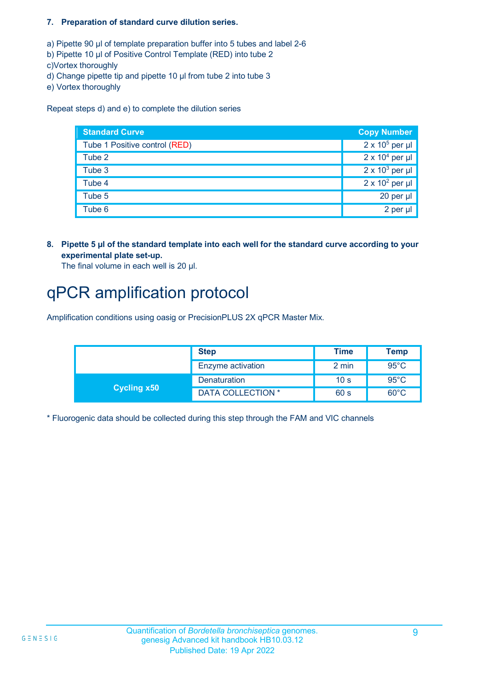#### **7. Preparation of standard curve dilution series.**

a) Pipette 90 µl of template preparation buffer into 5 tubes and label 2-6

- b) Pipette 10 µl of Positive Control Template (RED) into tube 2
- c)Vortex thoroughly
- d) Change pipette tip and pipette 10 µl from tube 2 into tube 3
- e) Vortex thoroughly

Repeat steps d) and e) to complete the dilution series

| <b>Standard Curve</b>         | <b>Copy Number</b>     |
|-------------------------------|------------------------|
| Tube 1 Positive control (RED) | $2 \times 10^5$ per µl |
| Tube 2                        | $2 \times 10^4$ per µl |
| Tube 3                        | $2 \times 10^3$ per µl |
| Tube 4                        | $2 \times 10^2$ per µl |
| Tube 5                        | 20 per µl              |
| Tube <sub>6</sub>             | 2 per µl               |

**8. Pipette 5 µl of the standard template into each well for the standard curve according to your experimental plate set-up.**

The final volume in each well is 20 µl.

### qPCR amplification protocol

Amplification conditions using oasig or PrecisionPLUS 2X qPCR Master Mix.

|                    | <b>Step</b>       | <b>Time</b>     | <b>Temp</b>    |
|--------------------|-------------------|-----------------|----------------|
|                    | Enzyme activation | 2 min           | $95^{\circ}$ C |
| <b>Cycling x50</b> | Denaturation      | 10 <sub>s</sub> | $95^{\circ}$ C |
|                    | DATA COLLECTION * | 60 s            | $60^{\circ}$ C |

\* Fluorogenic data should be collected during this step through the FAM and VIC channels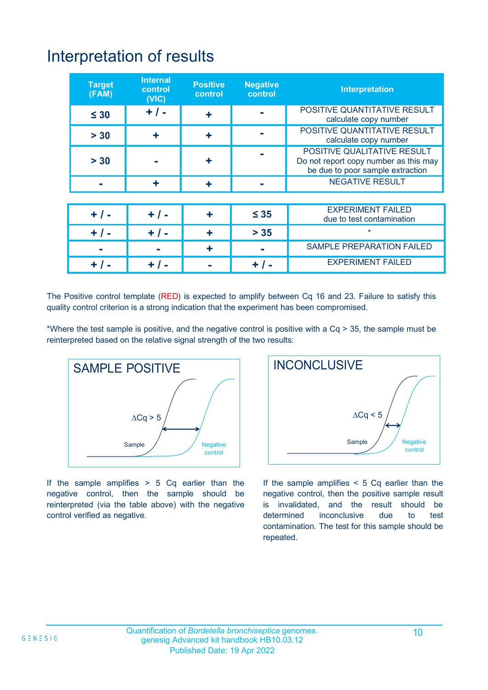### Interpretation of results

| <b>Target</b><br>(FAM) | <b>Internal</b><br>control<br>(NIC) | <b>Positive</b><br>control | <b>Negative</b><br>control | <b>Interpretation</b>                                                                                    |
|------------------------|-------------------------------------|----------------------------|----------------------------|----------------------------------------------------------------------------------------------------------|
| $\leq 30$              | $+$ / -                             |                            |                            | POSITIVE QUANTITATIVE RESULT<br>calculate copy number                                                    |
| $> 30$                 |                                     |                            |                            | POSITIVE QUANTITATIVE RESULT<br>calculate copy number                                                    |
| > 30                   |                                     |                            |                            | POSITIVE QUALITATIVE RESULT<br>Do not report copy number as this may<br>be due to poor sample extraction |
|                        |                                     |                            |                            | <b>NEGATIVE RESULT</b>                                                                                   |
|                        |                                     |                            |                            |                                                                                                          |
| $+$ / -                | $+ 1 -$                             |                            | $\leq 35$                  | <b>EXPERIMENT FAILED</b><br>due to test contamination                                                    |
| $+$ / $-$              | $+ 1 -$                             | ╋                          | $> 35$                     | $\star$                                                                                                  |
|                        |                                     | ╋                          |                            | <b>SAMPLE PREPARATION FAILED</b>                                                                         |
|                        |                                     |                            |                            | <b>EXPERIMENT FAILED</b>                                                                                 |

The Positive control template (RED) is expected to amplify between Cq 16 and 23. Failure to satisfy this quality control criterion is a strong indication that the experiment has been compromised.

\*Where the test sample is positive, and the negative control is positive with a Cq > 35, the sample must be reinterpreted based on the relative signal strength of the two results:



If the sample amplifies  $> 5$  Cq earlier than the negative control, then the sample should be reinterpreted (via the table above) with the negative control verified as negative.



If the sample amplifies < 5 Cq earlier than the negative control, then the positive sample result is invalidated, and the result should be determined inconclusive due to test contamination. The test for this sample should be repeated.